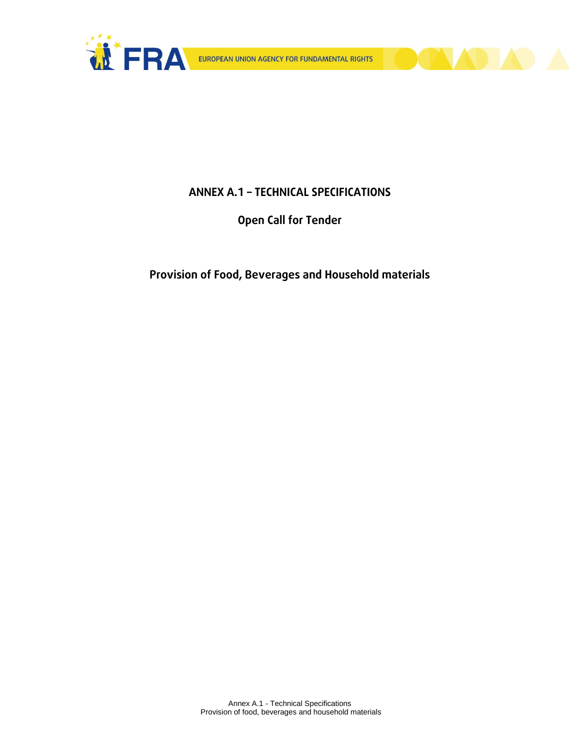

**DIADA** 

# **ANNEX A.1 – TECHNICAL SPECIFICATIONS**

**Open Call for Tender** 

**Provision of Food, Beverages and Household materials**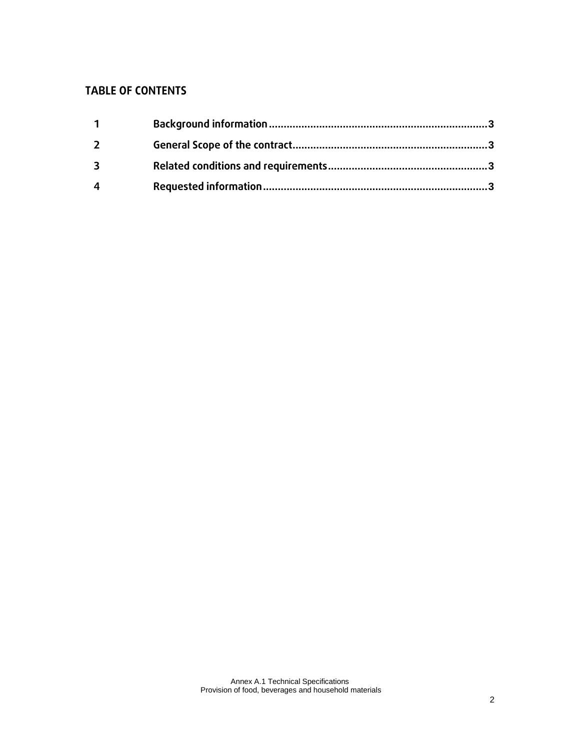# **TABLE OF CONTENTS**

| $\mathbf{1}$ |  |
|--------------|--|
| $\mathbf{2}$ |  |
| 3            |  |
| 4            |  |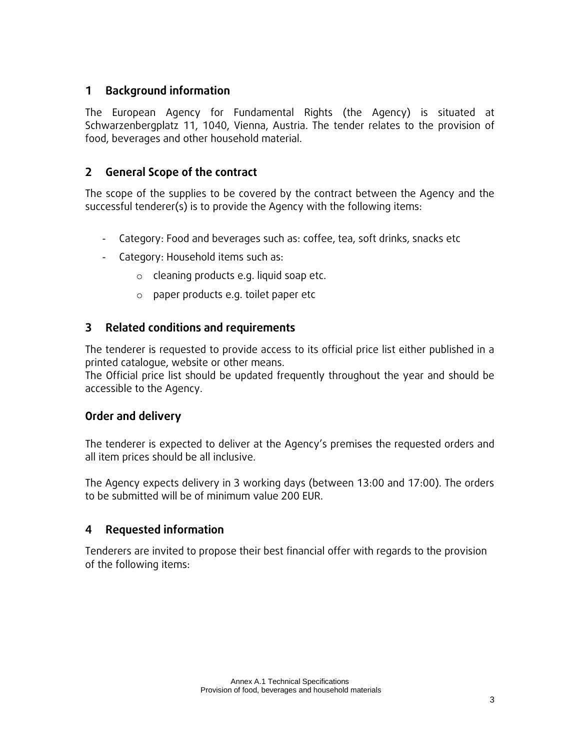### <span id="page-2-0"></span>**1 Background information**

The European Agency for Fundamental Rights (the Agency) is situated at Schwarzenbergplatz 11, 1040, Vienna, Austria. The tender relates to the provision of food, beverages and other household material.

# <span id="page-2-1"></span>**2 General Scope of the contract**

The scope of the supplies to be covered by the contract between the Agency and the successful tenderer(s) is to provide the Agency with the following items:

- Category: Food and beverages such as: coffee, tea, soft drinks, snacks etc
- Category: Household items such as:
	- o cleaning products e.g. liquid soap etc.
	- o paper products e.g. toilet paper etc

# <span id="page-2-2"></span>**3 Related conditions and requirements**

The tenderer is requested to provide access to its official price list either published in a printed catalogue, website or other means.

The Official price list should be updated frequently throughout the year and should be accessible to the Agency.

# **Order and delivery**

The tenderer is expected to deliver at the Agency's premises the requested orders and all item prices should be all inclusive.

The Agency expects delivery in 3 working days (between 13:00 and 17:00). The orders to be submitted will be of minimum value 200 EUR.

# <span id="page-2-3"></span>**4 Requested information**

Tenderers are invited to propose their best financial offer with regards to the provision of the following items: